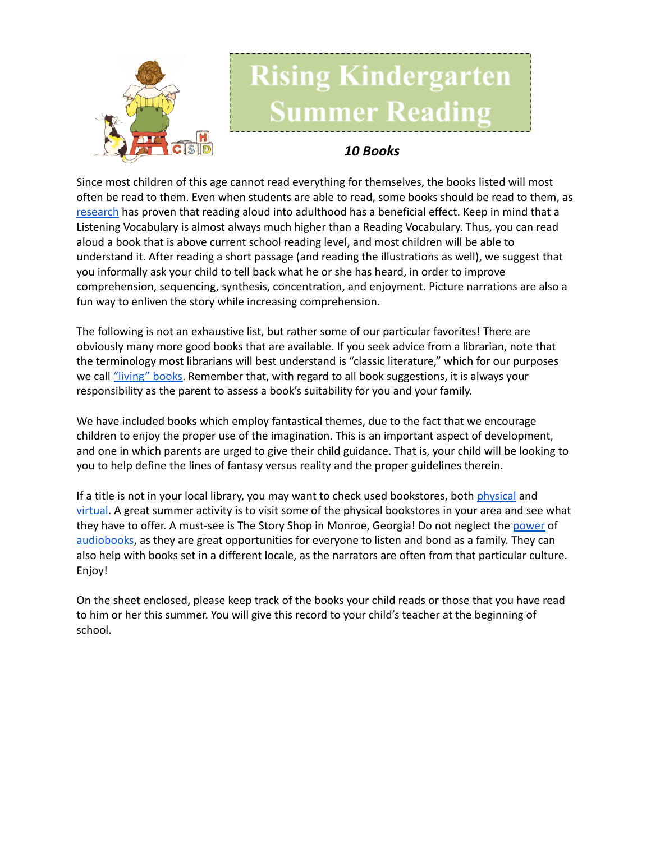

## **Rising Kindergarten Summer Reading**

## *10 Books*

Since most children of this age cannot read everything for themselves, the books listed will most often be read to them. Even when students are able to read, some books should be read to them, as [research](https://www.greatschools.org/gk/articles/read-aloud-to-children/) has proven that reading aloud into adulthood has a beneficial effect. Keep in mind that a Listening Vocabulary is almost always much higher than a Reading Vocabulary. Thus, you can read aloud a book that is above current school reading level, and most children will be able to understand it. After reading a short passage (and reading the illustrations as well), we suggest that you informally ask your child to tell back what he or she has heard, in order to improve comprehension, sequencing, synthesis, concentration, and enjoyment. Picture narrations are also a fun way to enliven the story while increasing comprehension.

The following is not an exhaustive list, but rather some of our particular favorites! There are obviously many more good books that are available. If you seek advice from a librarian, note that the terminology most librarians will best understand is "classic literature," which for our purposes we call ["living"](https://charlottemasonhome.com/2007/05/30/literature-by-grade/) books. Remember that, with regard to all book suggestions, it is always your responsibility as the parent to assess a book's suitability for you and your family.

We have included books which employ fantastical themes, due to the fact that we encourage children to enjoy the proper use of the imagination. This is an important aspect of development, and one in which parents are urged to give their child guidance. That is, your child will be looking to you to help define the lines of fantasy versus reality and the proper guidelines therein.

If a title is not in your local library, you may want to check used bookstores, both [physical](https://www.atlantaparent.com/top-kids-bookstores-in-atlanta/) and [virtual.](https://booksliced.com/books/here-are-the-20-best-websites-to-use-next-time-you-shop-for-paperback-and-hardcover-books-online/) A great summer activity is to visit some of the physical bookstores in your area and see what they have to offer. A must-see is The Story Shop in Monroe, Georgia! Do not neglect the [power](https://www.learningliftoff.com/free-audio-books-for-kids/) of [audiobooks](https://mashable.com/article/free-audiobooks/), as they are great opportunities for everyone to listen and bond as a family. They can also help with books set in a different locale, as the narrators are often from that particular culture. Enjoy!

On the sheet enclosed, please keep track of the books your child reads or those that you have read to him or her this summer. You will give this record to your child's teacher at the beginning of school.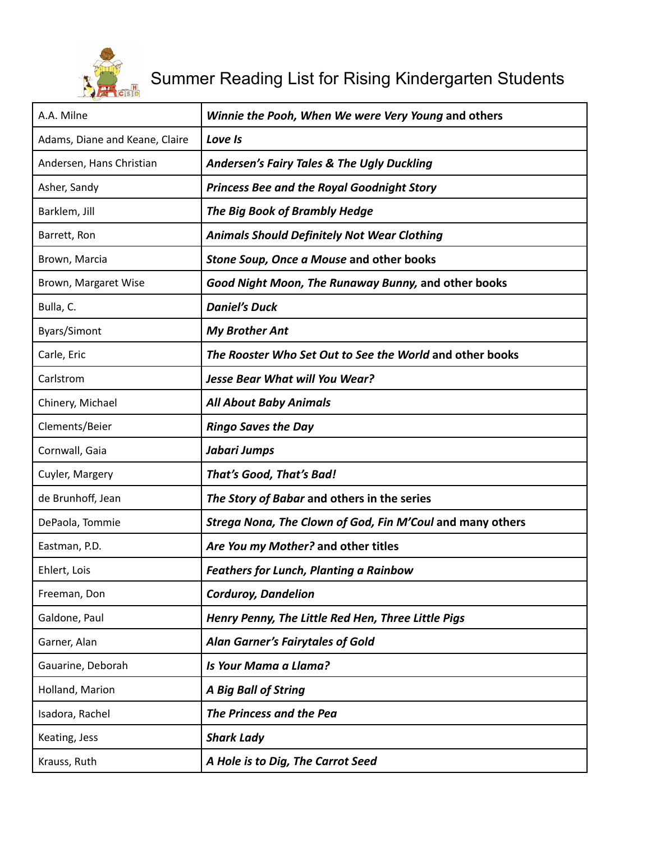

## Summer Reading List for Rising Kindergarten Students

| A.A. Milne                     | Winnie the Pooh, When We were Very Young and others       |
|--------------------------------|-----------------------------------------------------------|
| Adams, Diane and Keane, Claire | Love Is                                                   |
| Andersen, Hans Christian       | <b>Andersen's Fairy Tales &amp; The Ugly Duckling</b>     |
| Asher, Sandy                   | <b>Princess Bee and the Royal Goodnight Story</b>         |
| Barklem, Jill                  | The Big Book of Brambly Hedge                             |
| Barrett, Ron                   | <b>Animals Should Definitely Not Wear Clothing</b>        |
| Brown, Marcia                  | Stone Soup, Once a Mouse and other books                  |
| Brown, Margaret Wise           | Good Night Moon, The Runaway Bunny, and other books       |
| Bulla, C.                      | <b>Daniel's Duck</b>                                      |
| Byars/Simont                   | <b>My Brother Ant</b>                                     |
| Carle, Eric                    | The Rooster Who Set Out to See the World and other books  |
| Carlstrom                      | <b>Jesse Bear What will You Wear?</b>                     |
| Chinery, Michael               | <b>All About Baby Animals</b>                             |
| Clements/Beier                 | <b>Ringo Saves the Day</b>                                |
| Cornwall, Gaia                 | Jabari Jumps                                              |
| Cuyler, Margery                | That's Good, That's Bad!                                  |
| de Brunhoff, Jean              | The Story of Babar and others in the series               |
| DePaola, Tommie                | Strega Nona, The Clown of God, Fin M'Coul and many others |
| Eastman, P.D.                  | Are You my Mother? and other titles                       |
| Ehlert, Lois                   | <b>Feathers for Lunch, Planting a Rainbow</b>             |
| Freeman, Don                   | <b>Corduroy, Dandelion</b>                                |
| Galdone, Paul                  | Henry Penny, The Little Red Hen, Three Little Pigs        |
| Garner, Alan                   | <b>Alan Garner's Fairytales of Gold</b>                   |
| Gauarine, Deborah              | Is Your Mama a Llama?                                     |
| Holland, Marion                | <b>A Big Ball of String</b>                               |
| Isadora, Rachel                | The Princess and the Pea                                  |
| Keating, Jess                  | <b>Shark Lady</b>                                         |
| Krauss, Ruth                   | A Hole is to Dig, The Carrot Seed                         |